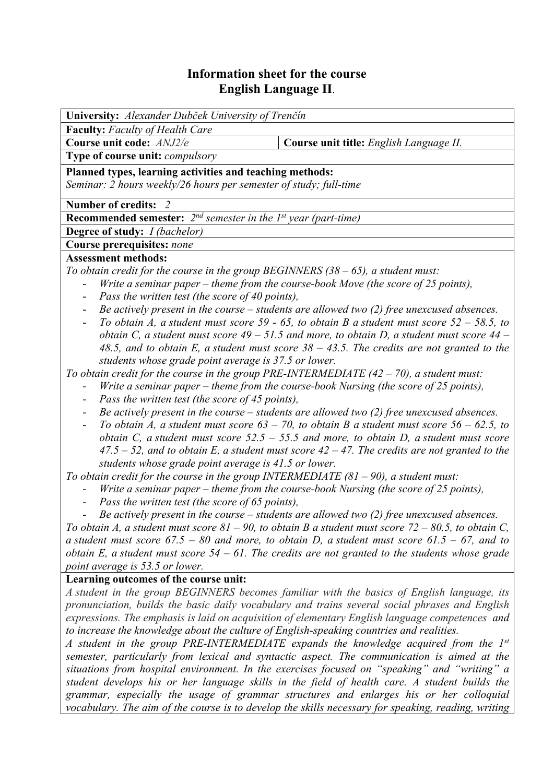# **Information sheet for the course English Language II**.

| University: Alexander Dubček University of Trenčín                                                                       |  |  |  |  |  |  |
|--------------------------------------------------------------------------------------------------------------------------|--|--|--|--|--|--|
| <b>Faculty:</b> Faculty of Health Care                                                                                   |  |  |  |  |  |  |
| Course unit title: English Language II.<br>Course unit code: ANJ2/e                                                      |  |  |  |  |  |  |
| Type of course unit: compulsory                                                                                          |  |  |  |  |  |  |
| Planned types, learning activities and teaching methods:                                                                 |  |  |  |  |  |  |
| Seminar: 2 hours weekly/26 hours per semester of study; full-time                                                        |  |  |  |  |  |  |
| Number of credits: 2                                                                                                     |  |  |  |  |  |  |
| <b>Recommended semester:</b> $2^{nd}$ semester in the 1st year (part-time)                                               |  |  |  |  |  |  |
| <b>Degree of study:</b> <i>I (bachelor)</i>                                                                              |  |  |  |  |  |  |
| Course prerequisites: none                                                                                               |  |  |  |  |  |  |
| <b>Assessment methods:</b>                                                                                               |  |  |  |  |  |  |
| To obtain credit for the course in the group BEGINNERS $(38 - 65)$ , a student must:                                     |  |  |  |  |  |  |
| Write a seminar paper – theme from the course-book Move (the score of 25 points),<br>$\overline{\phantom{0}}$            |  |  |  |  |  |  |
| Pass the written test (the score of 40 points),                                                                          |  |  |  |  |  |  |
| Be actively present in the course $-$ students are allowed two (2) free unexcused absences.                              |  |  |  |  |  |  |
| To obtain A, a student must score 59 - 65, to obtain B a student must score $52 - 58.5$ , to<br>$\overline{\phantom{a}}$ |  |  |  |  |  |  |
| obtain C, a student must score $49 - 51.5$ and more, to obtain D, a student must score $44 -$                            |  |  |  |  |  |  |
| 48.5, and to obtain E, a student must score $38 - 43.5$ . The credits are not granted to the                             |  |  |  |  |  |  |
| students whose grade point average is 37.5 or lower.                                                                     |  |  |  |  |  |  |
| To obtain credit for the course in the group PRE-INTERMEDIATE $(42 - 70)$ , a student must:                              |  |  |  |  |  |  |
| Write a seminar paper – theme from the course-book Nursing (the score of 25 points),                                     |  |  |  |  |  |  |
| Pass the written test (the score of 45 points),<br>$\overline{\phantom{a}}$                                              |  |  |  |  |  |  |
| Be actively present in the course $-$ students are allowed two (2) free unexcused absences.<br>$\blacksquare$            |  |  |  |  |  |  |
| To obtain A, a student must score $63 - 70$ , to obtain B a student must score $56 - 62.5$ , to                          |  |  |  |  |  |  |
| obtain C, a student must score $52.5 - 55.5$ and more, to obtain D, a student must score                                 |  |  |  |  |  |  |
| $47.5 - 52$ , and to obtain E, a student must score $42 - 47$ . The credits are not granted to the                       |  |  |  |  |  |  |
| students whose grade point average is 41.5 or lower.                                                                     |  |  |  |  |  |  |
| To obtain credit for the course in the group INTERMEDIATE $(81 - 90)$ , a student must:                                  |  |  |  |  |  |  |
| Write a seminar paper – theme from the course-book Nursing (the score of 25 points),                                     |  |  |  |  |  |  |
| Pass the written test (the score of 65 points),                                                                          |  |  |  |  |  |  |
| Be actively present in the course $-$ students are allowed two (2) free unexcused absences.                              |  |  |  |  |  |  |
| To obtain A, a student must score $81 - 90$ , to obtain B a student must score $72 - 80.5$ , to obtain C,                |  |  |  |  |  |  |
| a student must score $67.5 - 80$ and more, to obtain D, a student must score $61.5 - 67$ , and to                        |  |  |  |  |  |  |
| obtain E, a student must score $54 - 61$ . The credits are not granted to the students whose grade                       |  |  |  |  |  |  |
| point average is 53.5 or lower.                                                                                          |  |  |  |  |  |  |
| Learning outcomes of the course unit:                                                                                    |  |  |  |  |  |  |
| A student in the group BEGINNERS becomes familiar with the basics of English language, its                               |  |  |  |  |  |  |
| pronunciation, builds the basic daily vocabulary and trains several social phrases and English                           |  |  |  |  |  |  |
| expressions. The emphasis is laid on acquisition of elementary English language competences and                          |  |  |  |  |  |  |
| to increase the knowledge about the culture of English-speaking countries and realities.                                 |  |  |  |  |  |  |
| A student in the group PRE-INTERMEDIATE expands the knowledge acquired from the 1st                                      |  |  |  |  |  |  |
| semester, particularly from lexical and syntactic aspect. The communication is aimed at the                              |  |  |  |  |  |  |
| situations from hospital environment. In the exercises focused on "speaking" and "writing" a                             |  |  |  |  |  |  |
| student develops his or her language skills in the field of health care. A student builds the                            |  |  |  |  |  |  |
| grammar, especially the usage of grammar structures and enlarges his or her colloquial                                   |  |  |  |  |  |  |
| vocabulary. The aim of the course is to develop the skills necessary for speaking, reading, writing                      |  |  |  |  |  |  |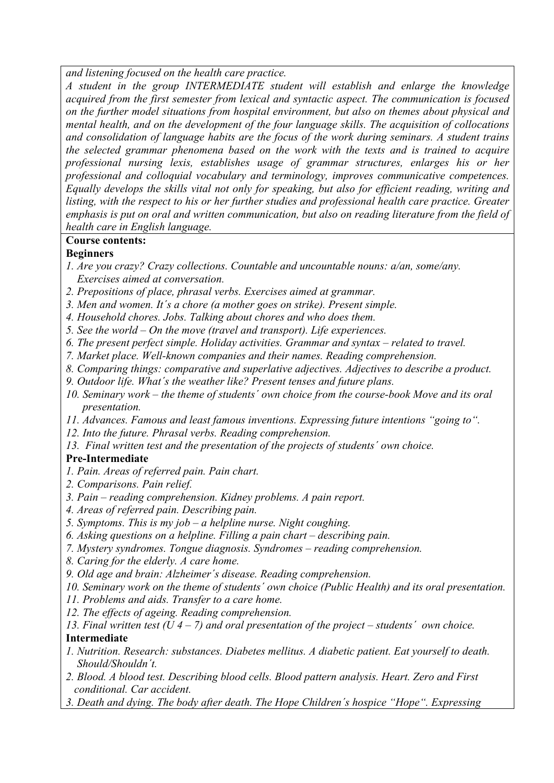*and listening focused on the health care practice.* 

*A student in the group INTERMEDIATE student will establish and enlarge the knowledge acquired from the first semester from lexical and syntactic aspect. The communication is focused on the further model situations from hospital environment, but also on themes about physical and mental health, and on the development of the four language skills. The acquisition of collocations and consolidation of language habits are the focus of the work during seminars. A student trains the selected grammar phenomena based on the work with the texts and is trained to acquire professional nursing lexis, establishes usage of grammar structures, enlarges his or her professional and colloquial vocabulary and terminology, improves communicative competences. Equally develops the skills vital not only for speaking, but also for efficient reading, writing and listing, with the respect to his or her further studies and professional health care practice. Greater emphasis is put on oral and written communication, but also on reading literature from the field of health care in English language.* 

# **Course contents:**

# **Beginners**

- *1. Are you crazy? Crazy collections. Countable and uncountable nouns: a/an, some/any. Exercises aimed at conversation.*
- *2. Prepositions of place, phrasal verbs. Exercises aimed at grammar.*
- *3. Men and women. It´s a chore (a mother goes on strike). Present simple.*
- *4. Household chores. Jobs. Talking about chores and who does them.*
- *5. See the world On the move (travel and transport). Life experiences.*
- *6. The present perfect simple. Holiday activities. Grammar and syntax related to travel.*
- *7. Market place. Well-known companies and their names. Reading comprehension.*
- *8. Comparing things: comparative and superlative adjectives. Adjectives to describe a product.*
- *9. Outdoor life. What´s the weather like? Present tenses and future plans.*
- *10. Seminary work the theme of students´ own choice from the course-book Move and its oral presentation.*
- *11. Advances. Famous and least famous inventions. Expressing future intentions "going to".*
- *12. Into the future. Phrasal verbs. Reading comprehension.*
- *13. Final written test and the presentation of the projects of students´ own choice.*

# **Pre-Intermediate**

- *1. Pain. Areas of referred pain. Pain chart.*
- *2. Comparisons. Pain relief.*
- *3. Pain reading comprehension. Kidney problems. A pain report.*
- *4. Areas of referred pain. Describing pain.*
- *5. Symptoms. This is my job a helpline nurse. Night coughing.*
- *6. Asking questions on a helpline. Filling a pain chart describing pain.*
- *7. Mystery syndromes. Tongue diagnosis. Syndromes reading comprehension.*
- *8. Caring for the elderly. A care home.*
- *9. Old age and brain: Alzheimer´s disease. Reading comprehension.*
- *10. Seminary work on the theme of students´ own choice (Public Health) and its oral presentation.*
- *11. Problems and aids. Transfer to a care home.*
- *12. The effects of ageing. Reading comprehension.*

#### *13. Final written test (U 4 – 7) and oral presentation of the project – students´ own choice.*  **Intermediate**

- *1. Nutrition. Research: substances. Diabetes mellitus. A diabetic patient. Eat yourself to death. Should/Shouldn´t.*
- *2. Blood. A blood test. Describing blood cells. Blood pattern analysis. Heart. Zero and First conditional. Car accident.*
- *3. Death and dying. The body after death. The Hope Children´s hospice "Hope". Expressing*